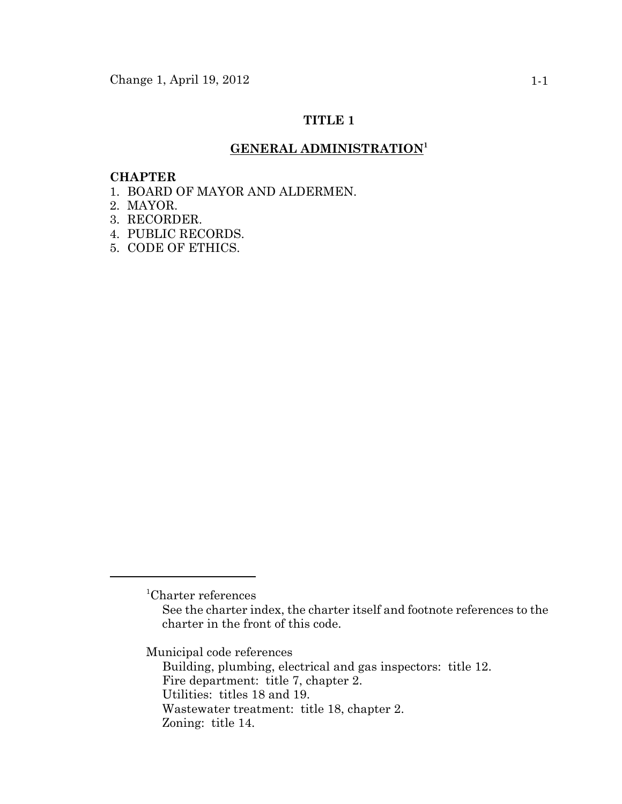# **TITLE 1**

# **GENERAL ADMINISTRATION<sup>1</sup>**

### **CHAPTER**

- 1. BOARD OF MAYOR AND ALDERMEN.
- 2. MAYOR.
- 3. RECORDER.
- 4. PUBLIC RECORDS.
- 5. CODE OF ETHICS.

Municipal code references

Building, plumbing, electrical and gas inspectors: title 12. Fire department: title 7, chapter 2. Utilities: titles 18 and 19. Wastewater treatment: title 18, chapter 2. Zoning: title 14.

<sup>1</sup> Charter references

See the charter index, the charter itself and footnote references to the charter in the front of this code.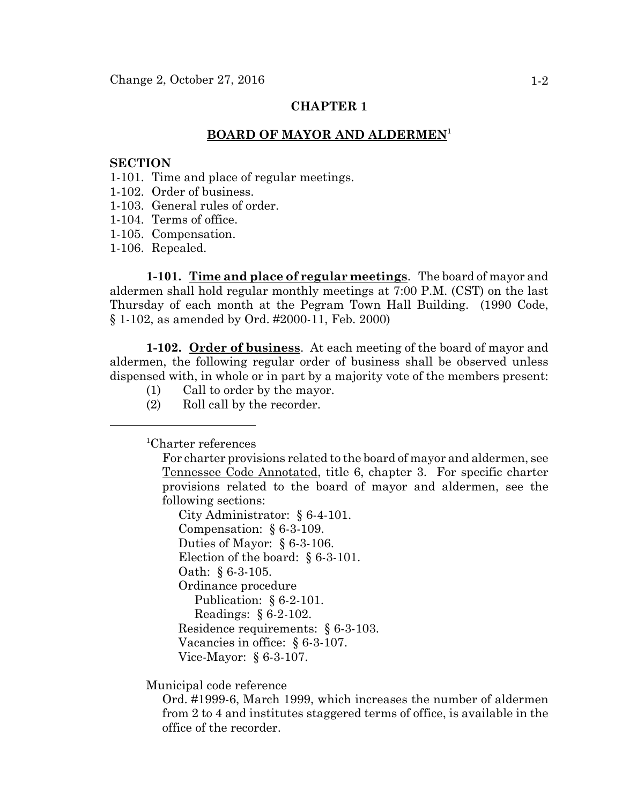### **BOARD OF MAYOR AND ALDERMEN<sup>1</sup>**

## **SECTION**

- 1-101. Time and place of regular meetings.
- 1-102. Order of business.
- 1-103. General rules of order.
- 1-104. Terms of office.
- 1-105. Compensation.
- 1-106. Repealed.

**1-101. Time and place of regular meetings**. The board of mayor and aldermen shall hold regular monthly meetings at 7:00 P.M. (CST) on the last Thursday of each month at the Pegram Town Hall Building. (1990 Code, § 1-102, as amended by Ord. #2000-11, Feb. 2000)

**1-102. Order of business**. At each meeting of the board of mayor and aldermen, the following regular order of business shall be observed unless dispensed with, in whole or in part by a majority vote of the members present:

- (1) Call to order by the mayor.
- (2) Roll call by the recorder.

1 Charter references

For charter provisions related to the board of mayor and aldermen, see Tennessee Code Annotated, title 6, chapter 3. For specific charter provisions related to the board of mayor and aldermen, see the following sections:

City Administrator: § 6-4-101. Compensation: § 6-3-109. Duties of Mayor: § 6-3-106. Election of the board: § 6-3-101. Oath: § 6-3-105. Ordinance procedure Publication: § 6-2-101. Readings: § 6-2-102. Residence requirements: § 6-3-103. Vacancies in office: § 6-3-107. Vice-Mayor: § 6-3-107.

Municipal code reference

Ord. #1999-6, March 1999, which increases the number of aldermen from 2 to 4 and institutes staggered terms of office, is available in the office of the recorder.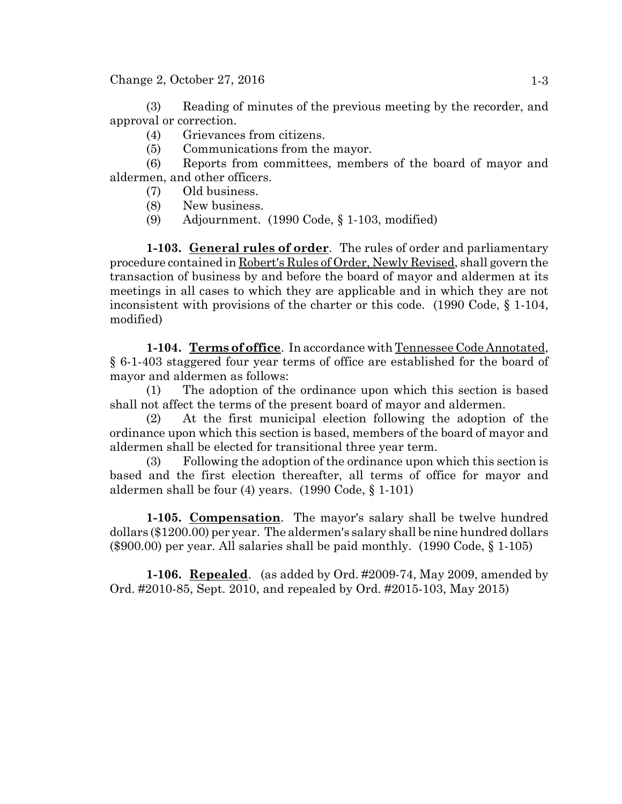$Change 2, October 27, 2016$  1-3

(3) Reading of minutes of the previous meeting by the recorder, and approval or correction.

- (4) Grievances from citizens.
- (5) Communications from the mayor.

(6) Reports from committees, members of the board of mayor and aldermen, and other officers.

- (7) Old business.
- (8) New business.
- (9) Adjournment. (1990 Code, § 1-103, modified)

**1-103. General rules of order**. The rules of order and parliamentary procedure contained in Robert's Rules of Order, Newly Revised, shall govern the transaction of business by and before the board of mayor and aldermen at its meetings in all cases to which they are applicable and in which they are not inconsistent with provisions of the charter or this code. (1990 Code, § 1-104, modified)

**1-104. Terms of office**. In accordance with Tennessee Code Annotated, § 6-1-403 staggered four year terms of office are established for the board of mayor and aldermen as follows:

(1) The adoption of the ordinance upon which this section is based shall not affect the terms of the present board of mayor and aldermen.

(2) At the first municipal election following the adoption of the ordinance upon which this section is based, members of the board of mayor and aldermen shall be elected for transitional three year term.

(3) Following the adoption of the ordinance upon which this section is based and the first election thereafter, all terms of office for mayor and aldermen shall be four (4) years. (1990 Code, § 1-101)

**1-105. Compensation**. The mayor's salary shall be twelve hundred dollars (\$1200.00) per year. The aldermen's salary shall be nine hundred dollars (\$900.00) per year. All salaries shall be paid monthly. (1990 Code, § 1-105)

**1-106. Repealed**. (as added by Ord. #2009-74, May 2009, amended by Ord. #2010-85, Sept. 2010, and repealed by Ord. #2015-103, May 2015)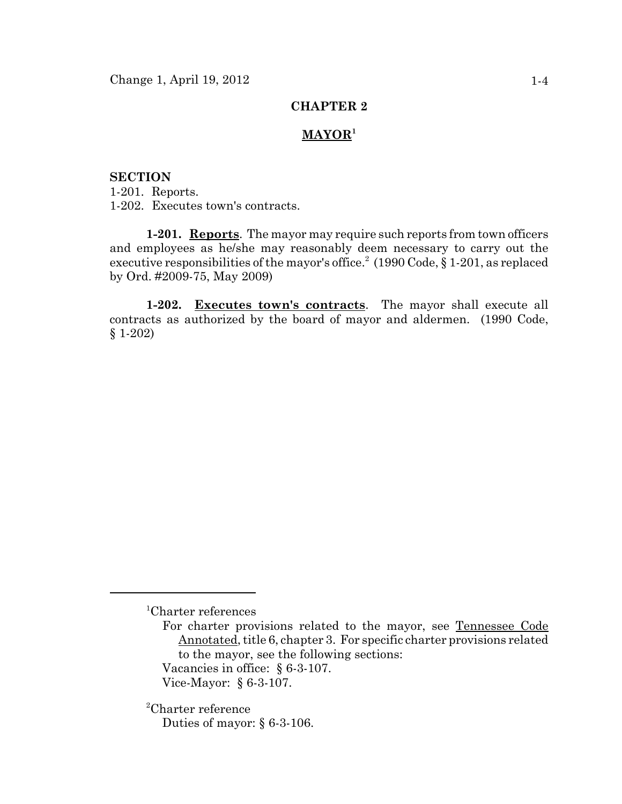# **MAYOR<sup>1</sup>**

### **SECTION**

1-201. Reports. 1-202. Executes town's contracts.

**1-201. Reports**. The mayor may require such reports from town officers and employees as he/she may reasonably deem necessary to carry out the executive responsibilities of the mayor's office.<sup>2</sup> (1990 Code, § 1-201, as replaced by Ord. #2009-75, May 2009)

**1-202. Executes town's contracts**. The mayor shall execute all contracts as authorized by the board of mayor and aldermen. (1990 Code, § 1-202)

1 Charter references

For charter provisions related to the mayor, see Tennessee Code Annotated, title 6, chapter 3. For specific charter provisions related to the mayor, see the following sections:

Vacancies in office: § 6-3-107.

2 Charter reference Duties of mayor: § 6-3-106.

Vice-Mayor: § 6-3-107.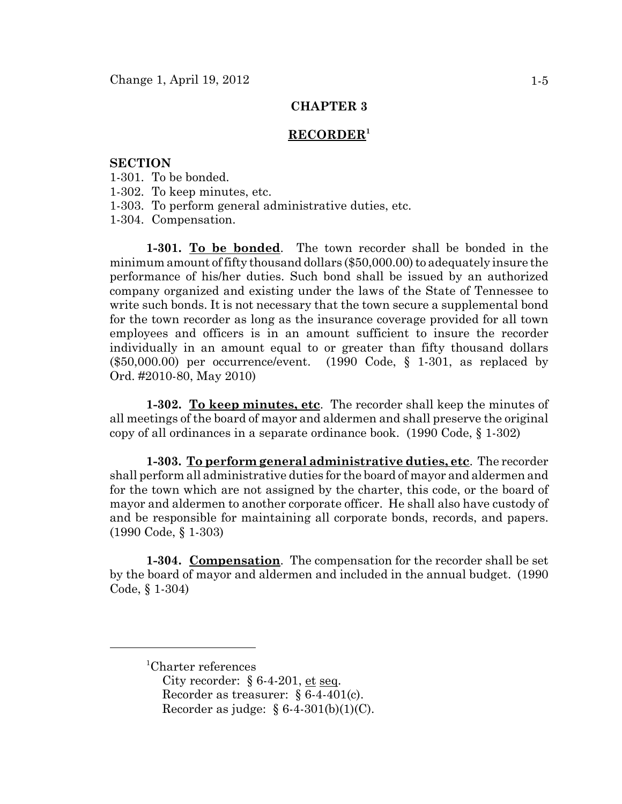#### **RECORDER1**

### **SECTION**

- 1-301. To be bonded.
- 1-302. To keep minutes, etc.
- 1-303. To perform general administrative duties, etc.
- 1-304. Compensation.

**1-301. To be bonded**. The town recorder shall be bonded in the minimum amount of fifty thousand dollars (\$50,000.00) to adequately insure the performance of his/her duties. Such bond shall be issued by an authorized company organized and existing under the laws of the State of Tennessee to write such bonds. It is not necessary that the town secure a supplemental bond for the town recorder as long as the insurance coverage provided for all town employees and officers is in an amount sufficient to insure the recorder individually in an amount equal to or greater than fifty thousand dollars (\$50,000.00) per occurrence/event. (1990 Code, § 1-301, as replaced by Ord. #2010-80, May 2010)

**1-302. To keep minutes, etc**. The recorder shall keep the minutes of all meetings of the board of mayor and aldermen and shall preserve the original copy of all ordinances in a separate ordinance book. (1990 Code, § 1-302)

**1-303. To perform general administrative duties, etc**. The recorder shall perform all administrative duties for the board of mayor and aldermen and for the town which are not assigned by the charter, this code, or the board of mayor and aldermen to another corporate officer. He shall also have custody of and be responsible for maintaining all corporate bonds, records, and papers. (1990 Code, § 1-303)

**1-304. Compensation**. The compensation for the recorder shall be set by the board of mayor and aldermen and included in the annual budget. (1990 Code, § 1-304)

<sup>1</sup> Charter references

City recorder:  $§ 6-4-201$ , et seq. Recorder as treasurer: § 6-4-401(c). Recorder as judge:  $§ 6-4-301(b)(1)(C)$ .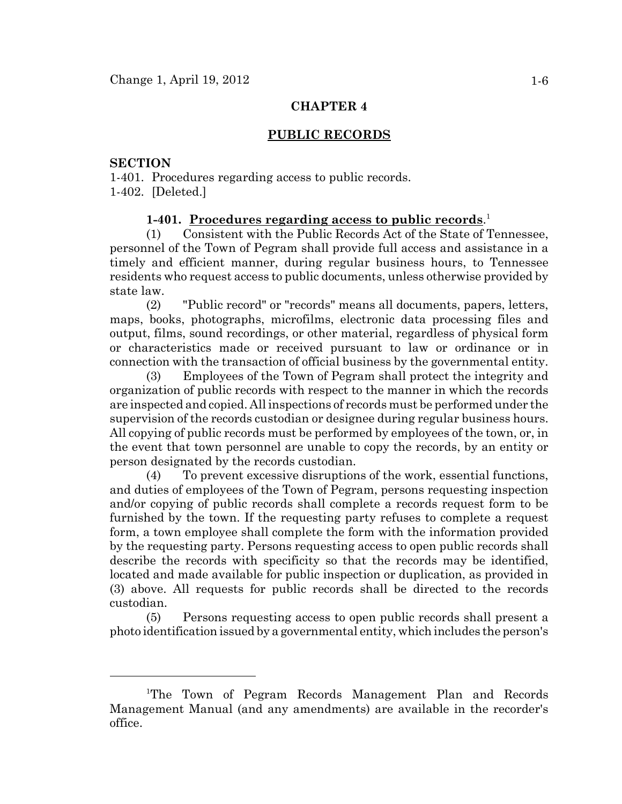### **PUBLIC RECORDS**

# **SECTION**

1-401. Procedures regarding access to public records. 1-402. [Deleted.]

## **1-401. Procedures regarding access to public records**. 1

(1) Consistent with the Public Records Act of the State of Tennessee, personnel of the Town of Pegram shall provide full access and assistance in a timely and efficient manner, during regular business hours, to Tennessee residents who request access to public documents, unless otherwise provided by state law.

(2) "Public record" or "records" means all documents, papers, letters, maps, books, photographs, microfilms, electronic data processing files and output, films, sound recordings, or other material, regardless of physical form or characteristics made or received pursuant to law or ordinance or in connection with the transaction of official business by the governmental entity.

(3) Employees of the Town of Pegram shall protect the integrity and organization of public records with respect to the manner in which the records are inspected and copied. All inspections of records must be performed under the supervision of the records custodian or designee during regular business hours. All copying of public records must be performed by employees of the town, or, in the event that town personnel are unable to copy the records, by an entity or person designated by the records custodian.

(4) To prevent excessive disruptions of the work, essential functions, and duties of employees of the Town of Pegram, persons requesting inspection and/or copying of public records shall complete a records request form to be furnished by the town. If the requesting party refuses to complete a request form, a town employee shall complete the form with the information provided by the requesting party. Persons requesting access to open public records shall describe the records with specificity so that the records may be identified, located and made available for public inspection or duplication, as provided in (3) above. All requests for public records shall be directed to the records custodian.

(5) Persons requesting access to open public records shall present a photo identification issued by a governmental entity, which includes the person's

<sup>&</sup>lt;sup>1</sup>The Town of Pegram Records Management Plan and Records Management Manual (and any amendments) are available in the recorder's office.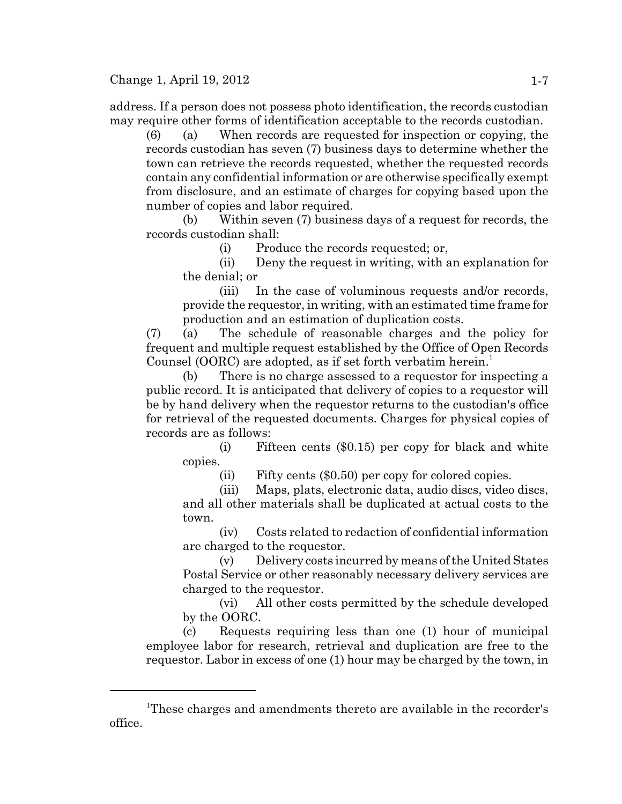address. If a person does not possess photo identification, the records custodian may require other forms of identification acceptable to the records custodian.

(6) (a) When records are requested for inspection or copying, the records custodian has seven (7) business days to determine whether the town can retrieve the records requested, whether the requested records contain any confidential information or are otherwise specifically exempt from disclosure, and an estimate of charges for copying based upon the number of copies and labor required.

(b) Within seven (7) business days of a request for records, the records custodian shall:

(i) Produce the records requested; or,

(ii) Deny the request in writing, with an explanation for the denial; or

(iii) In the case of voluminous requests and/or records, provide the requestor, in writing, with an estimated time frame for production and an estimation of duplication costs.

(7) (a) The schedule of reasonable charges and the policy for frequent and multiple request established by the Office of Open Records Counsel (OORC) are adopted, as if set forth verbatim herein.<sup>1</sup>

(b) There is no charge assessed to a requestor for inspecting a public record. It is anticipated that delivery of copies to a requestor will be by hand delivery when the requestor returns to the custodian's office for retrieval of the requested documents. Charges for physical copies of records are as follows:

(i) Fifteen cents (\$0.15) per copy for black and white copies.

(ii) Fifty cents (\$0.50) per copy for colored copies.

(iii) Maps, plats, electronic data, audio discs, video discs, and all other materials shall be duplicated at actual costs to the town.

(iv) Costs related to redaction of confidential information are charged to the requestor.

(v) Delivery costs incurred by means of the United States Postal Service or other reasonably necessary delivery services are charged to the requestor.

(vi) All other costs permitted by the schedule developed by the OORC.

(c) Requests requiring less than one (1) hour of municipal employee labor for research, retrieval and duplication are free to the requestor. Labor in excess of one (1) hour may be charged by the town, in

<sup>&</sup>lt;sup>1</sup>These charges and amendments thereto are available in the recorder's office.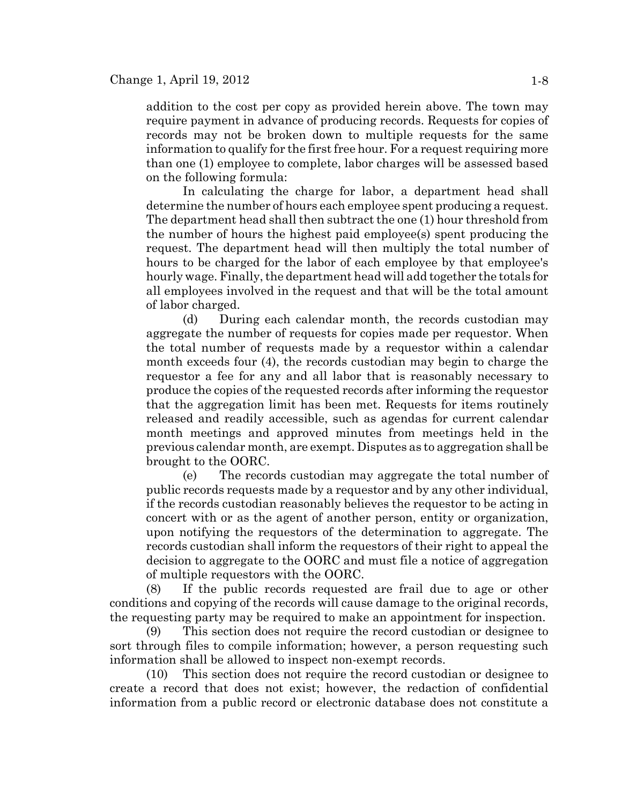addition to the cost per copy as provided herein above. The town may require payment in advance of producing records. Requests for copies of records may not be broken down to multiple requests for the same information to qualify for the first free hour. For a request requiring more than one (1) employee to complete, labor charges will be assessed based on the following formula:

In calculating the charge for labor, a department head shall determine the number of hours each employee spent producing a request. The department head shall then subtract the one (1) hour threshold from the number of hours the highest paid employee(s) spent producing the request. The department head will then multiply the total number of hours to be charged for the labor of each employee by that employee's hourly wage. Finally, the department head will add together the totals for all employees involved in the request and that will be the total amount of labor charged.

(d) During each calendar month, the records custodian may aggregate the number of requests for copies made per requestor. When the total number of requests made by a requestor within a calendar month exceeds four (4), the records custodian may begin to charge the requestor a fee for any and all labor that is reasonably necessary to produce the copies of the requested records after informing the requestor that the aggregation limit has been met. Requests for items routinely released and readily accessible, such as agendas for current calendar month meetings and approved minutes from meetings held in the previous calendar month, are exempt. Disputes as to aggregation shall be brought to the OORC.

(e) The records custodian may aggregate the total number of public records requests made by a requestor and by any other individual, if the records custodian reasonably believes the requestor to be acting in concert with or as the agent of another person, entity or organization, upon notifying the requestors of the determination to aggregate. The records custodian shall inform the requestors of their right to appeal the decision to aggregate to the OORC and must file a notice of aggregation of multiple requestors with the OORC.

(8) If the public records requested are frail due to age or other conditions and copying of the records will cause damage to the original records, the requesting party may be required to make an appointment for inspection.

(9) This section does not require the record custodian or designee to sort through files to compile information; however, a person requesting such information shall be allowed to inspect non-exempt records.

(10) This section does not require the record custodian or designee to create a record that does not exist; however, the redaction of confidential information from a public record or electronic database does not constitute a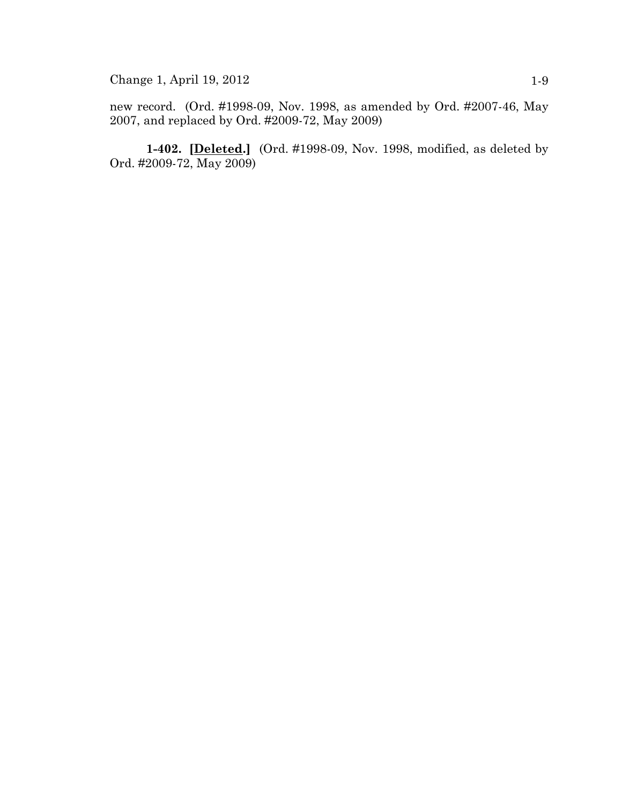Change 1, April 19, 2012 1-9

new record. (Ord. #1998-09, Nov. 1998, as amended by Ord. #2007-46, May 2007, and replaced by Ord. #2009-72, May 2009)

**1-402. [Deleted.]** (Ord. #1998-09, Nov. 1998, modified, as deleted by Ord. #2009-72, May 2009)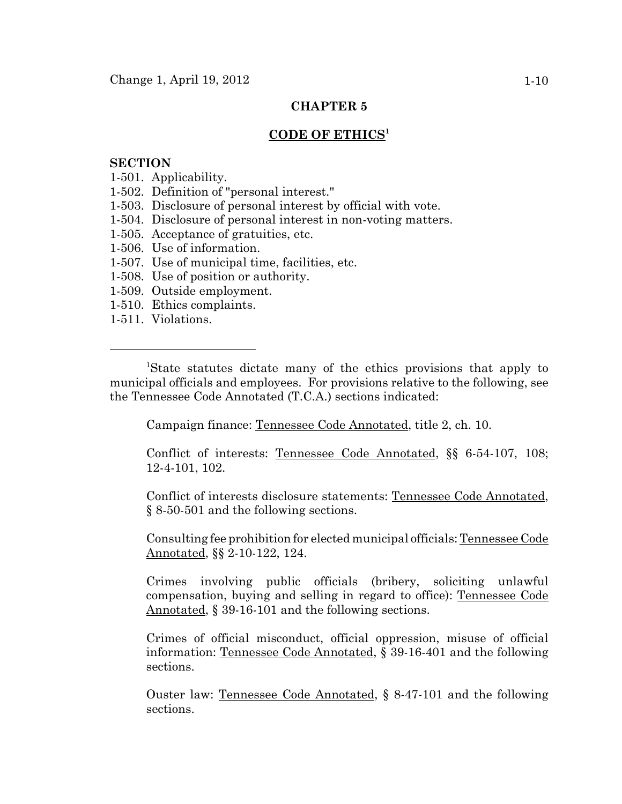### **CODE OF ETHICS<sup>1</sup>**

### **SECTION**

- 1-501. Applicability.
- 1-502. Definition of "personal interest."
- 1-503. Disclosure of personal interest by official with vote.
- 1-504. Disclosure of personal interest in non-voting matters.
- 1-505. Acceptance of gratuities, etc.
- 1-506. Use of information.
- 1-507. Use of municipal time, facilities, etc.
- 1-508. Use of position or authority.
- 1-509. Outside employment.
- 1-510. Ethics complaints.
- 1-511. Violations.

<sup>1</sup>State statutes dictate many of the ethics provisions that apply to municipal officials and employees. For provisions relative to the following, see the Tennessee Code Annotated (T.C.A.) sections indicated:

Campaign finance: Tennessee Code Annotated, title 2, ch. 10.

Conflict of interests: Tennessee Code Annotated, §§ 6-54-107, 108; 12-4-101, 102.

Conflict of interests disclosure statements: Tennessee Code Annotated, § 8-50-501 and the following sections.

Consulting fee prohibition for elected municipal officials: Tennessee Code Annotated, §§ 2-10-122, 124.

Crimes involving public officials (bribery, soliciting unlawful compensation, buying and selling in regard to office): Tennessee Code Annotated, § 39-16-101 and the following sections.

Crimes of official misconduct, official oppression, misuse of official information: Tennessee Code Annotated, § 39-16-401 and the following sections.

Ouster law: Tennessee Code Annotated, § 8-47-101 and the following sections.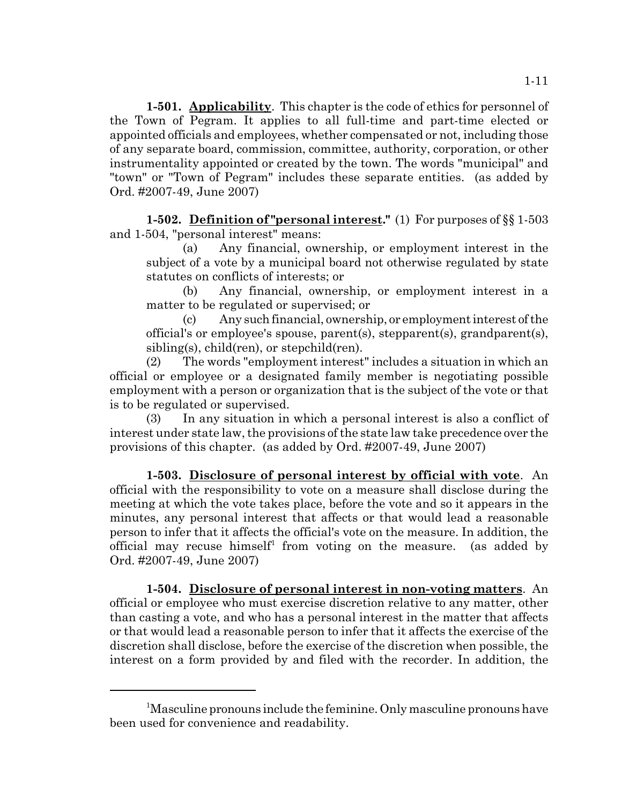**1-501. Applicability**. This chapter is the code of ethics for personnel of the Town of Pegram. It applies to all full-time and part-time elected or appointed officials and employees, whether compensated or not, including those of any separate board, commission, committee, authority, corporation, or other instrumentality appointed or created by the town. The words "municipal" and "town" or "Town of Pegram" includes these separate entities. (as added by Ord. #2007-49, June 2007)

**1-502. Definition of "personal interest."** (1) For purposes of §§ 1-503 and 1-504, "personal interest" means:

(a) Any financial, ownership, or employment interest in the subject of a vote by a municipal board not otherwise regulated by state statutes on conflicts of interests; or

(b) Any financial, ownership, or employment interest in a matter to be regulated or supervised; or

(c) Any such financial, ownership, or employment interest of the official's or employee's spouse, parent(s), stepparent(s), grandparent(s), sibling(s), child(ren), or stepchild(ren).

(2) The words "employment interest" includes a situation in which an official or employee or a designated family member is negotiating possible employment with a person or organization that is the subject of the vote or that is to be regulated or supervised.

(3) In any situation in which a personal interest is also a conflict of interest under state law, the provisions of the state law take precedence over the provisions of this chapter. (as added by Ord. #2007-49, June 2007)

**1-503. Disclosure of personal interest by official with vote**. An official with the responsibility to vote on a measure shall disclose during the meeting at which the vote takes place, before the vote and so it appears in the minutes, any personal interest that affects or that would lead a reasonable person to infer that it affects the official's vote on the measure. In addition, the official may recuse himself<sup>1</sup> from voting on the measure. (as added by Ord. #2007-49, June 2007)

**1-504. Disclosure of personal interest in non-voting matters**. An official or employee who must exercise discretion relative to any matter, other than casting a vote, and who has a personal interest in the matter that affects or that would lead a reasonable person to infer that it affects the exercise of the discretion shall disclose, before the exercise of the discretion when possible, the interest on a form provided by and filed with the recorder. In addition, the

<sup>&</sup>lt;sup>1</sup>Masculine pronouns include the feminine. Only masculine pronouns have been used for convenience and readability.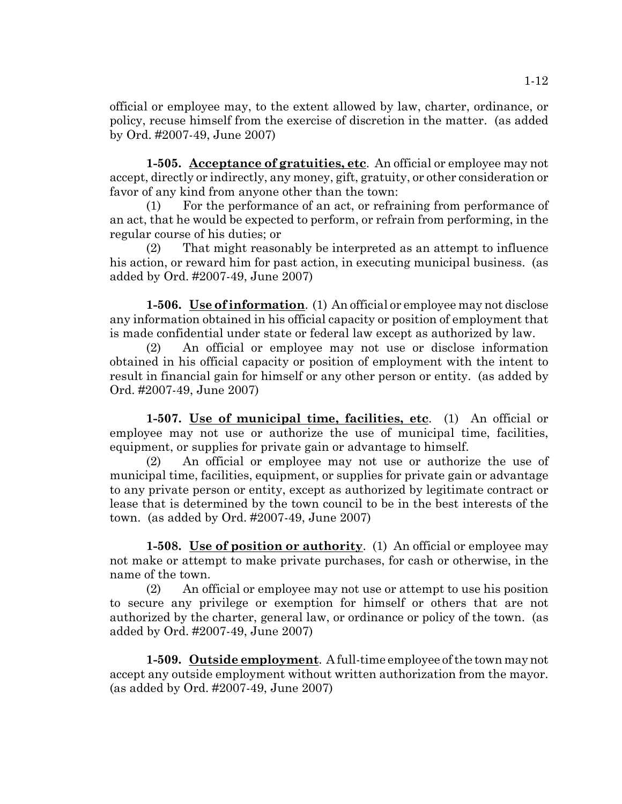official or employee may, to the extent allowed by law, charter, ordinance, or policy, recuse himself from the exercise of discretion in the matter. (as added by Ord. #2007-49, June 2007)

**1-505. Acceptance of gratuities, etc**. An official or employee may not accept, directly or indirectly, any money, gift, gratuity, or other consideration or favor of any kind from anyone other than the town:

(1) For the performance of an act, or refraining from performance of an act, that he would be expected to perform, or refrain from performing, in the regular course of his duties; or

(2) That might reasonably be interpreted as an attempt to influence his action, or reward him for past action, in executing municipal business. (as added by Ord. #2007-49, June 2007)

**1-506. Use of information**. (1) An official or employee may not disclose any information obtained in his official capacity or position of employment that is made confidential under state or federal law except as authorized by law.

(2) An official or employee may not use or disclose information obtained in his official capacity or position of employment with the intent to result in financial gain for himself or any other person or entity. (as added by Ord. #2007-49, June 2007)

**1-507. Use of municipal time, facilities, etc**. (1) An official or employee may not use or authorize the use of municipal time, facilities, equipment, or supplies for private gain or advantage to himself.

(2) An official or employee may not use or authorize the use of municipal time, facilities, equipment, or supplies for private gain or advantage to any private person or entity, except as authorized by legitimate contract or lease that is determined by the town council to be in the best interests of the town. (as added by Ord. #2007-49, June 2007)

**1-508. Use of position or authority**. (1) An official or employee may not make or attempt to make private purchases, for cash or otherwise, in the name of the town.

(2) An official or employee may not use or attempt to use his position to secure any privilege or exemption for himself or others that are not authorized by the charter, general law, or ordinance or policy of the town. (as added by Ord. #2007-49, June 2007)

**1-509. Outside employment**. A full-time employee of the town may not accept any outside employment without written authorization from the mayor. (as added by Ord. #2007-49, June 2007)